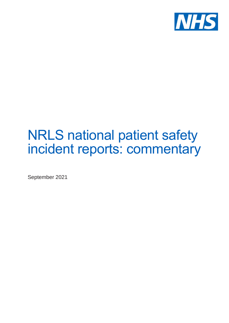

## NRLS national patient safety incident reports: commentary

September 2021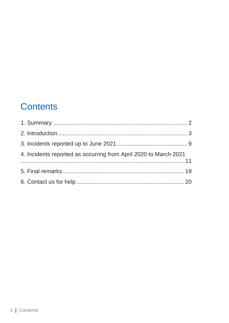### **Contents**

| 4. Incidents reported as occurring from April 2020 to March 2021 |  |
|------------------------------------------------------------------|--|
|                                                                  |  |
|                                                                  |  |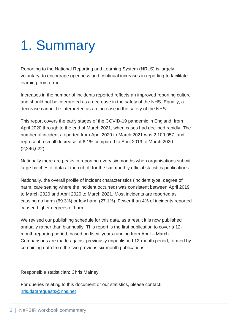## <span id="page-2-0"></span>1. Summary

Reporting to the National Reporting and Learning System (NRLS) is largely voluntary, to encourage openness and continual increases in reporting to facilitate learning from error.

Increases in the number of incidents reported reflects an improved reporting culture and should not be interpreted as a decrease in the safety of the NHS. Equally, a decrease cannot be interpreted as an increase in the safety of the NHS.

This report covers the early stages of the COVID-19 pandemic in England, from April 2020 through to the end of March 2021, when cases had declined rapidly. The number of incidents reported from April 2020 to March 2021 was 2,109,057, and represent a small decrease of 6.1% compared to April 2019 to March 2020 (2,246,622).

Nationally there are peaks in reporting every six months when organisations submit large batches of data at the cut-off for the six-monthly official statistics publications.

Nationally, the overall profile of incident characteristics (incident type, degree of harm, care setting where the incident occurred) was consistent between April 2019 to March 2020 and April 2020 to March 2021. Most incidents are reported as causing no harm (69.3%) or low harm (27.1%). Fewer than 4% of incidents reported caused higher degrees of harm

We revised our publishing schedule for this data, as a result it is now published annually rather than biannually. This report is the first publication to cover a 12 month reporting period, based on fiscal years running from April – March. Comparisons are made against previously unpublished 12-month period, formed by combining data from the two previous six-month publications.

Responsible statistician: Chris Mainey

For queries relating to this document or our statistics, please contact: [nrls.datarequests@nhs.net](mailto:nrls.datarequests@nhs.net)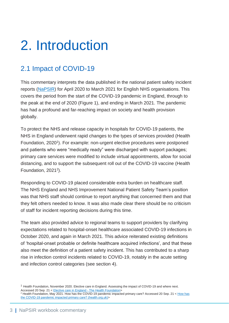## <span id="page-3-0"></span>2. Introduction

### 2.1 Impact of COVID-19

This commentary interprets the data published in the national patient safety incident reports [\(NaPSIR\)](https://www.england.nhs.uk/patient-safety/national-patient-safety-incident-reports/) for April 2020 to March 2021 for English NHS organisations. This covers the period from the start of the COVID-19 pandemic in England, through to the peak at the end of 2020 (Figure 1), and ending in March 2021. The pandemic has had a profound and far-reaching impact on society and health provision globally.

To protect the NHS and release capacity in hospitals for COVID-19 patients, the NHS in England underwent rapid changes to the types of services provided (Health Foundation, 2020<sup>1</sup>). For example: non-urgent elective procedures were postponed and patients who were "medically ready" were discharged with support packages; primary care services were modified to include virtual appointments, allow for social distancing, and to support the subsequent roll out of the COVID-19 vaccine (Health Foundation, 2021<sup>2</sup>).

Responding to COVID-19 placed considerable extra burden on healthcare staff. The NHS England and NHS Improvement National Patient Safety Team's position was that NHS staff should continue to report anything that concerned them and that they felt others needed to know. It was also made clear there should be no criticism of staff for incident reporting decisions during this time.

The team also provided advice to regional teams to support providers by clarifying expectations related to hospital-onset healthcare associated COVID-19 infections in October 2020, and again in March 2021. This advice reiterated existing definitions of 'hospital-onset probable or definite healthcare acquired infections', and that these also meet the definition of a patient safety incident. This has contributed to a sharp rise in infection control incidents related to COVID-19, notably in the acute setting and infection control categories (see section 4).

<sup>&</sup>lt;sup>1</sup> Health Foundation, November 2020. Elective care in England. Assessing the impact of COVID-19 and where next. Accessed 20 Sep. 21 [< Elective care in England -](https://www.health.org.uk/publications/long-reads/elective-care-in-england-assessing-the-impact-of-covid-19-and-where-next) The Health Foundation>

<sup>&</sup>lt;sup>2</sup> Health Foundation, May 2021. How has the COVID-19 pandemic impacted primary care? Accessed 20 Sep. 21 < How has [the COVID-19 pandemic impacted primary care? \(health.org.uk\)>](https://www.health.org.uk/news-and-comment/charts-and-infographics/how-has-the-covid-19-pandemic-impacted-primary-care)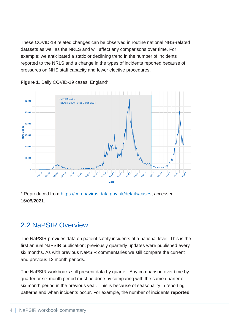These COVID-19 related changes can be observed in routine national NHS-related datasets as well as the NRLS and will affect any comparisons over time. For example: we anticipated a static or declining trend in the number of incidents reported to the NRLS and a change in the types of incidents reported because of pressures on NHS staff capacity and fewer elective procedures.



**Figure 1**. Daily COVID-19 cases, England\*

\* Reproduced from [https://coronavirus.data.gov.uk/details/cases,](https://coronavirus.data.gov.uk/details/cases) accessed 16/08/2021.

### 2.2 NaPSIR Overview

The NaPSIR provides data on patient safety incidents at a national level. This is the first annual NaPSIR publication; previously quarterly updates were published every six months. As with previous NaPSIR commentaries we still compare the current and previous 12 month periods.

The NaPSIR workbooks still present data by quarter. Any comparison over time by quarter or six month period must be done by comparing with the same quarter or six month period in the previous year. This is because of seasonality in reporting patterns and when incidents occur. For example, the number of incidents **reported**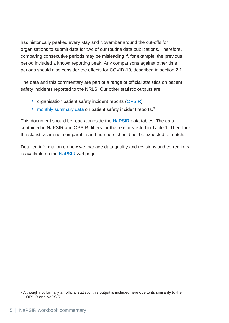has historically peaked every May and November around the cut-offs for organisations to submit data for two of our routine data publications. Therefore, comparing consecutive periods may be misleading if, for example, the previous period included a known reporting peak. Any comparisons against other time periods should also consider the effects for COVID-19, described in section 2.1.

The data and this commentary are part of a range of official statistics on patient safety incidents reported to the NRLS. Our other statistic outputs are:

- organisation patient safety incident reports [\(OPSIR\)](https://www.england.nhs.uk/patient-safety/organisation-patient-safety-incident-reports/23-september-2020/)
- [monthly summary data](https://www.england.nhs.uk/patient-safety/monthly-data-patient-safety-incident-reports/) on patient safety incident reports.<sup>3</sup>

This document should be read alongside the **NaPSIR** data tables. The data contained in NaPSIR and OPSIR differs for the reasons listed in Table 1. Therefore, the statistics are not comparable and numbers should not be expected to match.

Detailed information on how we manage data quality and revisions and corrections is available on the **NaPSIR** webpage.

<sup>3</sup> Although not formally an official statistic, this output is included here due to its similarity to the OPSIR and NaPSIR.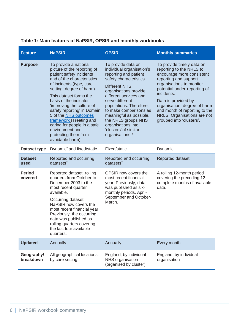| Table 1: Main features of NaPSIR, OPSIR and monthly workbooks |  |  |
|---------------------------------------------------------------|--|--|
|---------------------------------------------------------------|--|--|

| <b>Feature</b>           | <b>NaPSIR</b>                                                                                                                                                                                                                                                                                                                                                                                                                             | <b>OPSIR</b>                                                                                                                                                                                                                                                                                                                                                               | <b>Monthly summaries</b>                                                                                                                                                                                                                                                                                                                 |
|--------------------------|-------------------------------------------------------------------------------------------------------------------------------------------------------------------------------------------------------------------------------------------------------------------------------------------------------------------------------------------------------------------------------------------------------------------------------------------|----------------------------------------------------------------------------------------------------------------------------------------------------------------------------------------------------------------------------------------------------------------------------------------------------------------------------------------------------------------------------|------------------------------------------------------------------------------------------------------------------------------------------------------------------------------------------------------------------------------------------------------------------------------------------------------------------------------------------|
| <b>Purpose</b>           | To provide a national<br>picture of the reporting of<br>patient safety incidents<br>and of the characteristics<br>of incidents (type, care<br>setting, degree of harm).<br>This dataset forms the<br>basis of the indicator<br>'improving the culture of<br>safety reporting' in Domain<br>5 of the NHS outcomes<br>framework (Treating and<br>caring for people in a safe<br>environment and<br>protecting them from<br>avoidable harm). | To provide data on<br>individual organisation's<br>reporting and patient<br>safety characteristics.<br><b>Different NHS</b><br>organisations provide<br>different services and<br>serve different<br>populations. Therefore,<br>to make comparisons as<br>meaningful as possible,<br>the NRLS groups NHS<br>organisations into<br>'clusters' of similar<br>organisations.* | To provide timely data on<br>reporting to the NRLS to<br>encourage more consistent<br>reporting and support<br>organisations to monitor<br>potential under-reporting of<br>incidents.<br>Data is provided by<br>organisation, degree of harm<br>and month of reporting to the<br>NRLS. Organisations are not<br>grouped into 'clusters'. |
| Dataset type             | Dynamic <sup>†</sup> and fixed/static                                                                                                                                                                                                                                                                                                                                                                                                     | Fixed/static                                                                                                                                                                                                                                                                                                                                                               | Dynamic                                                                                                                                                                                                                                                                                                                                  |
| <b>Dataset</b><br>used   | Reported and occurring<br>$datasets^{\ddagger}$                                                                                                                                                                                                                                                                                                                                                                                           | Reported and occurring<br>$datasets^{\ddagger}$                                                                                                                                                                                                                                                                                                                            | Reported dataset <sup>#</sup>                                                                                                                                                                                                                                                                                                            |
| <b>Period</b><br>covered | Reported dataset: rolling<br>quarters from October to<br>December 2003 to the<br>most recent quarter<br>available.<br>Occurring dataset:<br>NaPSIR now covers the<br>most recent financial year.<br>Previously, the occurring<br>data was published as<br>rolling quarters covering<br>the last four available<br>quarters.                                                                                                               | OPSIR now covers the<br>most recent financial<br>year. Previously, data<br>was published as six-<br>monthly periods, April-<br>September and October-<br>March.                                                                                                                                                                                                            | A rolling 12-month period<br>covering the preceding 12<br>complete months of available<br>data.                                                                                                                                                                                                                                          |
| <b>Updated</b>           | Annually                                                                                                                                                                                                                                                                                                                                                                                                                                  | Annually                                                                                                                                                                                                                                                                                                                                                                   | Every month                                                                                                                                                                                                                                                                                                                              |
| Geography/<br>breakdown  | All geographical locations,<br>by care setting                                                                                                                                                                                                                                                                                                                                                                                            | England, by individual<br>NHS organisation<br>(organised by cluster)                                                                                                                                                                                                                                                                                                       | England, by individual<br>organisation                                                                                                                                                                                                                                                                                                   |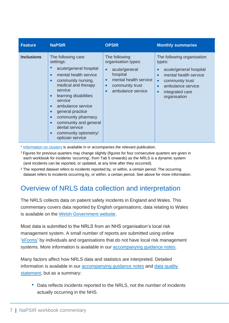| <b>Feature</b>    | <b>NaPSIR</b>                                                                                                                                                                                                                                                                                                                                                                                                                                             | <b>OPSIR</b>                                                                                                                                                                           | <b>Monthly summaries</b>                                                                                                                                                        |
|-------------------|-----------------------------------------------------------------------------------------------------------------------------------------------------------------------------------------------------------------------------------------------------------------------------------------------------------------------------------------------------------------------------------------------------------------------------------------------------------|----------------------------------------------------------------------------------------------------------------------------------------------------------------------------------------|---------------------------------------------------------------------------------------------------------------------------------------------------------------------------------|
| <b>Inclusions</b> | The following care<br>settings:<br>acute/general hospital<br>$\bullet$<br>mental health service<br>$\bullet$<br>community nursing,<br>$\bullet$<br>medical and therapy<br>service<br>learning disabilities<br>$\bullet$<br>service<br>ambulance service<br>$\bullet$<br>general practice<br>$\bullet$<br>community pharmacy<br>$\bullet$<br>community and general<br>$\bullet$<br>dental service<br>community optometry/<br>$\bullet$<br>optician service | The following<br>organisation types:<br>acute/general<br>$\bullet$<br>hospital<br>mental health service<br>$\bullet$<br>community trust<br>$\bullet$<br>ambulance service<br>$\bullet$ | The following organisation<br>types:<br>acute/general hospital<br>mental health service<br>community trust<br>$\bullet$<br>ambulance service<br>integrated care<br>organisation |

\* [Information on clusters](https://www.england.nhs.uk/patient-safety/organisation-patient-safety-incident-reports/23-september-2020/) is available in or accompanies the relevant publication.

† Figures for previous quarters may change slightly (figures for four consecutive quarters are given in each workbook for incidents 'occurring', from Tab 5 onwards) as the NRLS is a dynamic system (and incidents can be reported, or updated, at any time after they occurred).

‡ The reported dataset refers to incidents reported by, or within, a certain period. The occurring dataset refers to incidents occurring by, or within, a certain period. See above for more information.

### Overview of NRLS data collection and interpretation

The NRLS collects data on patient safety incidents in England and Wales. This commentary covers data reported by English organisations; data relating to Wales is available on the [Welsh Government website.](https://gov.wales/statistics-and-research?keywords=Patient%20safety&%20All%20=All&%20All%20=All&%20All%20=All&published_after=&published_before=%22)

Most data is submitted to the NRLS from an NHS organisation's local risk management system. A small number of reports are submitted using online ['eForms'](https://record.learn-from-patient-safety-events.nhs.uk/) by individuals and organisations that do not have local risk management systems. More information is available in our **accompanying guidance notes**.

Many factors affect how NRLS data and statistics are interpreted. Detailed information is available in our [accompanying guidance notes](https://www.england.nhs.uk/publication/nrls-official-statistics-publications-guidance-notes/) and data quality [statement,](https://www.england.nhs.uk/publication/patient-safety-incident-reports-official-statistic-compliance/) but as a summary:

• Data reflects incidents reported to the NRLS, not the number of incidents actually occurring in the NHS.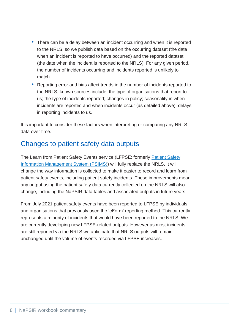- There can be a delay between an incident occurring and when it is reported to the NRLS, so we publish data based on the occurring dataset (the date when an incident is reported to have occurred) and the reported dataset (the date when the incident is reported to the NRLS). For any given period, the number of incidents occurring and incidents reported is unlikely to match.
- Reporting error and bias affect trends in the number of incidents reported to the NRLS; known sources include: the type of organisations that report to us; the type of incidents reported; changes in policy; seasonality in when incidents are reported and when incidents occur (as detailed above); delays in reporting incidents to us.

It is important to consider these factors when interpreting or comparing any NRLS data over time.

### Changes to patient safety data outputs

The Learn from [Patient Safety](https://www.england.nhs.uk/patient-safety/patient-safety-incident-management-system/) Events service (LFPSE; formerly Patient Safety [Information Management System \(PSIMS\)\)](https://www.england.nhs.uk/patient-safety/patient-safety-incident-management-system/) will fully replace the NRLS. It will change the way information is collected to make it easier to record and learn from patient safety events, including patient safety incidents. These improvements mean any output using the patient safety data currently collected on the NRLS will also change, including the NaPSIR data tables and associated outputs in future years.

From July 2021 patient safety events have been reported to LFPSE by individuals and organisations that previously used the 'eForm' reporting method. This currently represents a minority of incidents that would have been reported to the NRLS. We are currently developing new LFPSE-related outputs. However as most incidents are still reported via the NRLS we anticipate that NRLS outputs will remain unchanged until the volume of events recorded via LFPSE increases.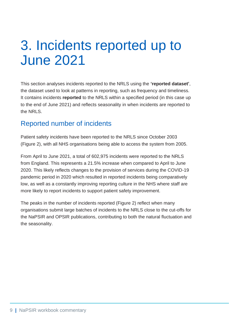## <span id="page-9-0"></span>3. Incidents reported up to June 2021

This section analyses incidents reported to the NRLS using the **'reported dataset'**, the dataset used to look at patterns in reporting, such as frequency and timeliness. It contains incidents **reported** to the NRLS within a specified period (in this case up to the end of June 2021) and reflects seasonality in when incidents are reported to the NRLS.

### Reported number of incidents

Patient safety incidents have been reported to the NRLS since October 2003 (Figure 2), with all NHS organisations being able to access the system from 2005.

From April to June 2021, a total of 602,975 incidents were reported to the NRLS from England. This represents a 21.5% increase when compared to April to June 2020. This likely reflects changes to the provision of services during the COVID-19 pandemic period in 2020 which resulted in reported incidents being comparatively low, as well as a constantly improving reporting culture in the NHS where staff are more likely to report incidents to support patient safety improvement.

The peaks in the number of incidents reported (Figure 2) reflect when many organisations submit large batches of incidents to the NRLS close to the cut-offs for the NaPSIR and OPSIR publications, contributing to both the natural fluctuation and the seasonality.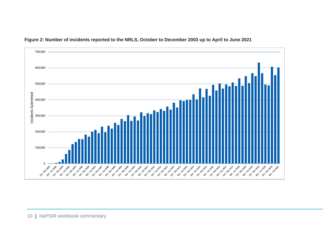

**Figure 2: Number of incidents reported to the NRLS, October to December 2003 up to April to June 2021**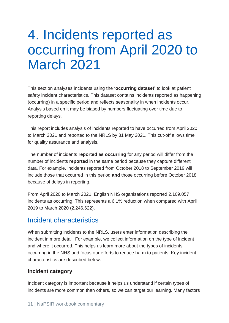## <span id="page-11-0"></span>4. Incidents reported as occurring from April 2020 to March 2021

This section analyses incidents using the **'occurring dataset'** to look at patient safety incident characteristics. This dataset contains incidents reported as happening (occurring) in a specific period and reflects seasonality in when incidents occur. Analysis based on it may be biased by numbers fluctuating over time due to reporting delays.

This report includes analysis of incidents reported to have occurred from April 2020 to March 2021 and reported to the NRLS by 31 May 2021. This cut-off allows time for quality assurance and analysis.

The number of incidents **reported as occurring** for any period will differ from the number of incidents **reported** in the same period because they capture different data. For example, incidents reported from October 2018 to September 2019 will include those that occurred in this period **and** those occurring before October 2018 because of delays in reporting.

From April 2020 to March 2021, English NHS organisations reported 2,109,057 incidents as occurring. This represents a 6.1% reduction when compared with April 2019 to March 2020 (2,246,622).

### Incident characteristics

When submitting incidents to the NRLS, users enter information describing the incident in more detail. For example, we collect information on the type of incident and where it occurred. This helps us learn more about the types of incidents occurring in the NHS and focus our efforts to reduce harm to patients. Key incident characteristics are described below.

#### **Incident category**

Incident category is important because it helps us understand if certain types of incidents are more common than others, so we can target our learning. Many factors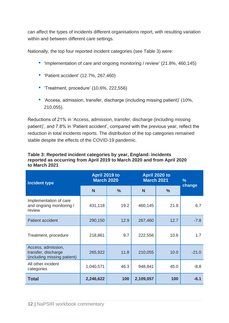can affect the types of incidents different organisations report, with resulting variation within and between different care settings.

Nationally, the top four reported incident categories (see Table 3) were:

- 'Implementation of care and ongoing monitoring / review' (21.8%, 460,145)
- 'Patient accident' (12.7%, 267,460)
- 'Treatment, procedure' (10.6%, 222,556)
- 'Access, admission, transfer, discharge (including missing patient)' (10%, 210,055).

Reductions of 21% in 'Access, admission, transfer, discharge (including missing patient)', and 7.8% in 'Patient accident', compared with the previous year, reflect the reduction in total incidents reports. The distribution of the top categories remained stable despite the effects of the COVID-19 pandemic.

#### **Table 3: Reported incident categories by year, England: incidents reported as occurring from April 2019 to March 2020 and from April 2020 to March 2021**

| <b>Incident type</b>                                                     | April 2019 to<br><b>March 2020</b> |               | April 2020 to<br><b>March 2021</b> |               | %       |
|--------------------------------------------------------------------------|------------------------------------|---------------|------------------------------------|---------------|---------|
|                                                                          | N                                  | $\frac{9}{6}$ | N                                  | $\frac{9}{6}$ | change  |
| Implementation of care<br>and ongoing monitoring /<br>review             | 431,118                            | 19.2          | 460,145                            | 21.8          | 6.7     |
| Patient accident                                                         | 290,150                            | 12.9          | 267,460                            | 12.7          | $-7.8$  |
| Treatment, procedure                                                     | 218,861                            | 9.7           | 222,556                            | 10.6          | 1.7     |
| Access, admission,<br>transfer, discharge<br>(including missing patient) | 265,922                            | 11.8          | 210,055                            | 10.0          | $-21.0$ |
| All other incident<br>categories                                         | 1,040,571                          | 46.3          | 948,841                            | 45.0          | $-8.8$  |
| <b>Total</b>                                                             | 2,246,622                          | 100           | 2,109,057                          | 100           | $-6.1$  |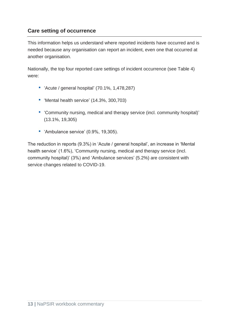#### **Care setting of occurrence**

This information helps us understand where reported incidents have occurred and is needed because any organisation can report an incident, even one that occurred at another organisation.

Nationally, the top four reported care settings of incident occurrence (see Table 4) were:

- 'Acute / general hospital' (70.1%, 1,478,287)
- 'Mental health service' (14.3%, 300,703)
- 'Community nursing, medical and therapy service (incl. community hospital)' (13.1%, 19,305)
- 'Ambulance service' (0.9%, 19,305).

The reduction in reports (9.3%) in 'Acute / general hospital', an increase in 'Mental health service' (1.6%), 'Community nursing, medical and therapy service (incl. community hospital)' (3%) and 'Ambulance services' (5.2%) are consistent with service changes related to COVID-19.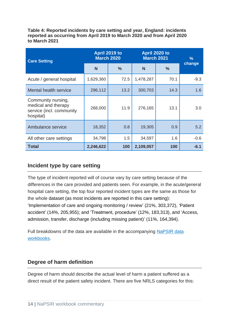**Table 4: Reported incidents by care setting and year, England: incidents reported as occurring from April 2019 to March 2020 and from April 2020 to March 2021** 

| <b>Care Setting</b>                                                                | April 2019 to<br><b>March 2020</b> |               | April 2020 to<br><b>March 2021</b> |               | %      |
|------------------------------------------------------------------------------------|------------------------------------|---------------|------------------------------------|---------------|--------|
|                                                                                    | N                                  | $\frac{0}{0}$ | N                                  | $\frac{0}{0}$ | change |
| Acute / general hospital                                                           | 1,629,360                          | 72.5          | 1,478,287                          | 70.1          | $-9.3$ |
| <b>Mental health service</b>                                                       | 296,112                            | 13.2          | 300,703                            | 14.3          | 1.6    |
| Community nursing,<br>medical and therapy<br>service (incl. community<br>hospital) | 268,000                            | 11.9          | 276,165                            | 13.1          | 3.0    |
| Ambulance service                                                                  | 18,352                             | 0.8           | 19,305                             | 0.9           | 5.2    |
| All other care settings                                                            | 34,798                             | 1.5           | 34,597                             | 1.6           | $-0.6$ |
| <b>Total</b>                                                                       | 2,246,622                          | 100           | 2,109,057                          | 100           | $-6.1$ |

#### **Incident type by care setting**

The type of incident reported will of course vary by care setting because of the differences in the care provided and patients seen. For example, in the acute/general hospital care setting, the top four reported incident types are the same as those for the whole dataset (as most incidents are reported in this care setting): 'Implementation of care and ongoing monitoring / review' (21%, 303,372), 'Patient accident' (14%, 205,955); and 'Treatment, procedure' (12%, 183,313), and 'Access, admission, transfer, discharge (including missing patient)' (11%, 164,394).

Full breakdowns of the data are available in the accompanying [NaPSIR data](https://www.england.nhs.uk/patient-safety/national-patient-safety-incident-reports/national-patient-safety-incident-reports-29-september-2021)  [workbooks](https://www.england.nhs.uk/patient-safety/national-patient-safety-incident-reports/national-patient-safety-incident-reports-29-september-2021).

#### **Degree of harm definition**

Degree of harm should describe the actual level of harm a patient suffered as a direct result of the patient safety incident. There are five NRLS categories for this: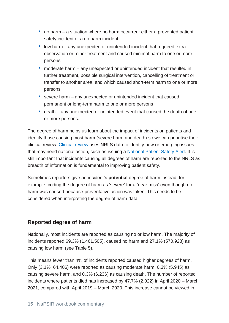- no harm a situation where no harm occurred: either a prevented patient safety incident or a no harm incident
- low harm any unexpected or unintended incident that required extra observation or minor treatment and caused minimal harm to one or more persons
- moderate harm any unexpected or unintended incident that resulted in further treatment, possible surgical intervention, cancelling of treatment or transfer to another area, and which caused short-term harm to one or more persons
- severe harm any unexpected or unintended incident that caused permanent or long-term harm to one or more persons
- death any unexpected or unintended event that caused the death of one or more persons.

The degree of harm helps us learn about the impact of incidents on patients and identify those causing most harm (severe harm and death) so we can prioritise their clinical review. [Clinical review](https://www.england.nhs.uk/patient-safety/patient-safety-review-and-response-reports/) uses NRLS data to identify new or emerging issues that may need national action, such as issuing a [National Patient Safety Alert.](https://www.england.nhs.uk/patient-safety/patient-safety-alerts/) It is still important that incidents causing all degrees of harm are reported to the NRLS as breadth of information is fundamental to improving patient safety.

Sometimes reporters give an incident's **potential** degree of harm instead; for example, coding the degree of harm as 'severe' for a 'near miss' even though no harm was caused because preventative action was taken. This needs to be considered when interpreting the degree of harm data.

#### **Reported degree of harm**

Nationally, most incidents are reported as causing no or low harm. The majority of incidents reported 69.3% (1,461,505), caused no harm and 27.1% (570,928) as causing low harm (see Table 5).

This means fewer than 4% of incidents reported caused higher degrees of harm. Only (3.1%, 64,406) were reported as causing moderate harm, 0.3% (5,945) as causing severe harm, and 0.3% (6,236) as causing death. The number of reported incidents where patients died has increased by 47.7% (2,022) in April 2020 – March 2021, compared with April 2019 – March 2020. This increase cannot be viewed in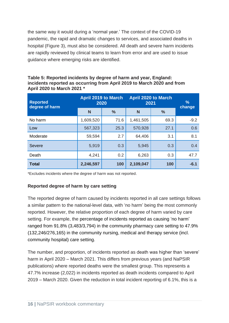the same way it would during a 'normal year.' The context of the COVID-19 pandemic, the rapid and dramatic changes to services, and associated deaths in hospital (Figure 3), must also be considered. All death and severe harm incidents are rapidly reviewed by clinical teams to learn from error and are used to issue guidance where emerging risks are identified.

| <b>Reported</b><br>degree of harm | <b>April 2019 to March</b><br>2020 |               | <b>April 2020 to March</b><br>2021 |               | %<br>change |  |
|-----------------------------------|------------------------------------|---------------|------------------------------------|---------------|-------------|--|
|                                   | N                                  | $\frac{0}{0}$ | N                                  | $\frac{0}{0}$ |             |  |
| No harm                           | 1,609,520                          | 71.6          | 1,461,505                          | 69.3          | $-9.2$      |  |
| Low                               | 567,323                            | 25.3          | 570,928                            | 27.1          | 0.6         |  |
| Moderate                          | 59,594                             | 2.7           | 64,406                             | 3.1           | 8.1         |  |
| <b>Severe</b>                     | 5,919                              | 0.3           | 5,945                              | 0.3           | 0.4         |  |
| Death                             | 4,241                              | 0.2           | 6,263                              | 0.3           | 47.7        |  |
| <b>Total</b>                      | 2,246,597                          | 100           | 2,109,047                          | 100           | $-6.1$      |  |

| Table 5: Reported incidents by degree of harm and year, England:       |
|------------------------------------------------------------------------|
| incidents reported as occurring from April 2019 to March 2020 and from |
| April 2020 to March 2021 *                                             |

\*Excludes incidents where the degree of harm was not reported.

#### **Reported degree of harm by care setting**

The reported degree of harm caused by incidents reported in all care settings follows a similar pattern to the national-level data, with 'no harm' being the most commonly reported. However, the relative proportion of each degree of harm varied by care setting. For example, the percentage of incidents reported as causing 'no harm' ranged from 91.8% (3,483/3,794) in the community pharmacy care setting to 47.9% (132,246/276,165) in the community nursing, medical and therapy service (incl. community hospital) care setting.

The number, and proportion, of incidents reported as death was higher than 'severe' harm in April 2020 – March 2021. This differs from previous years (and NaPSIR publications) where reported deaths were the smallest group. This represents a 47.7% increase (2,022) in incidents reported as death incidents compared to April 2019 – March 2020. Given the reduction in total incident reporting of 6.1%, this is a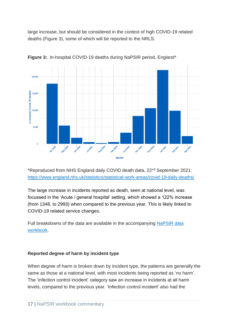large increase, but should be considered in the context of high COVID-19 related deaths (Figure 3), some of which will be reported to the NRLS.



**Figure 3:**. In-hospital COVID-19 deaths during NaPSIR period, England\*

\*Reproduced from NHS England daily COVID death data, 22nd September 2021: <https://www.england.nhs.uk/statistics/statistical-work-areas/covid-19-daily-deaths/>

The large increase in incidents reported as death, seen at national level, was focussed in the 'Acute / general hospital' setting, which showed a 122% increase (from 1348, to 2993) when compared to the previous year. This is likely linked to COVID-19 related service changes.

Full breakdowns of the data are available in the accompanying [NaPSIR data](https://www.england.nhs.uk/patient-safety/national-patient-safety-incident-reports/national-patient-safety-incident-reports-29-september-2021)  [workbook.](https://www.england.nhs.uk/patient-safety/national-patient-safety-incident-reports/national-patient-safety-incident-reports-29-september-2021)

#### **Reported degree of harm by incident type**

When degree of harm is broken down by incident type, the patterns are generally the same as those at a national level, with most incidents being reported as 'no harm'. The 'infection control incident' category saw an increase in incidents at all harm levels, compared to the previous year. 'Infection control incident' also had the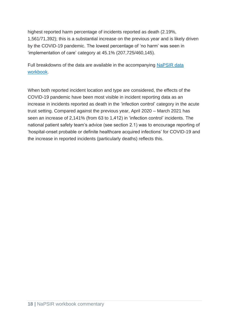highest reported harm percentage of incidents reported as death (2.19%, 1,561/71,392); this is a substantial increase on the previous year and is likely driven by the COVID-19 pandemic. The lowest percentage of 'no harm' was seen in 'implementation of care' category at 45.1% (207,725/460,145).

Full breakdowns of the data are available in the accompanying [NaPSIR data](https://www.england.nhs.uk/patient-safety/national-patient-safety-incident-reports/national-patient-safety-incident-reports-29-september-2021)  [workbook.](https://www.england.nhs.uk/patient-safety/national-patient-safety-incident-reports/national-patient-safety-incident-reports-29-september-2021)

When both reported incident location and type are considered, the effects of the COVID-19 pandemic have been most visible in incident reporting data as an increase in incidents reported as death in the 'infection control' category in the acute trust setting. Compared against the previous year, April 2020 – March 2021 has seen an increase of 2,141% (from 63 to 1,412) in 'infection control' incidents. The national patient safety team's advice (see section 2.1) was to encourage reporting of 'hospital-onset probable or definite healthcare acquired infections' for COVID-19 and the increase in reported incidents (particularly deaths) reflects this.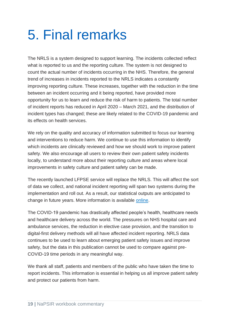## <span id="page-19-0"></span>5. Final remarks

The NRLS is a system designed to support learning. The incidents collected reflect what is reported to us and the reporting culture. The system is not designed to count the actual number of incidents occurring in the NHS. Therefore, the general trend of increases in incidents reported to the NRLS indicates a constantly improving reporting culture. These increases, together with the reduction in the time between an incident occurring and it being reported, have provided more opportunity for us to learn and reduce the risk of harm to patients. The total number of incident reports has reduced in April 2020 – March 2021, and the distribution of incident types has changed; these are likely related to the COVID-19 pandemic and its effects on health services.

We rely on the quality and accuracy of information submitted to focus our learning and interventions to reduce harm. We continue to use this information to identify which incidents are clinically reviewed and how we should work to improve patient safety. We also encourage all users to review their own patient safety incidents locally, to understand more about their reporting culture and areas where local improvements in safety culture and patient safety can be made.

The recently launched LFPSE service will replace the NRLS. This will affect the sort of data we collect, and national incident reporting will span two systems during the implementation and roll out. As a result, our statistical outputs are anticipated to change in future years. More information is available [online.](https://www.england.nhs.uk/patient-safety/patient-safety-incident-management-system/)

The COVID-19 pandemic has drastically affected people's health, healthcare needs and healthcare delivery across the world. The pressures on NHS hospital care and ambulance services, the reduction in elective case provision, and the transition to digital-first delivery methods will all have affected incident reporting. NRLS data continues to be used to learn about emerging patient safety issues and improve safety, but the data in this publication cannot be used to compare against pre-COVID-19 time periods in any meaningful way.

We thank all staff, patients and members of the public who have taken the time to report incidents. This information is essential in helping us all improve patient safety and protect our patients from harm.